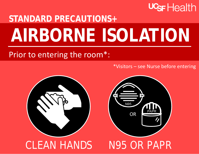## **UGF** Health

## **STANDARD PRECAUTIONS+ AIRBORNE ISOLATION**

## Prior to entering the room\*:

\*Visitors – see Nurse before entering



## CLEAN HANDS N95 OR PAPR